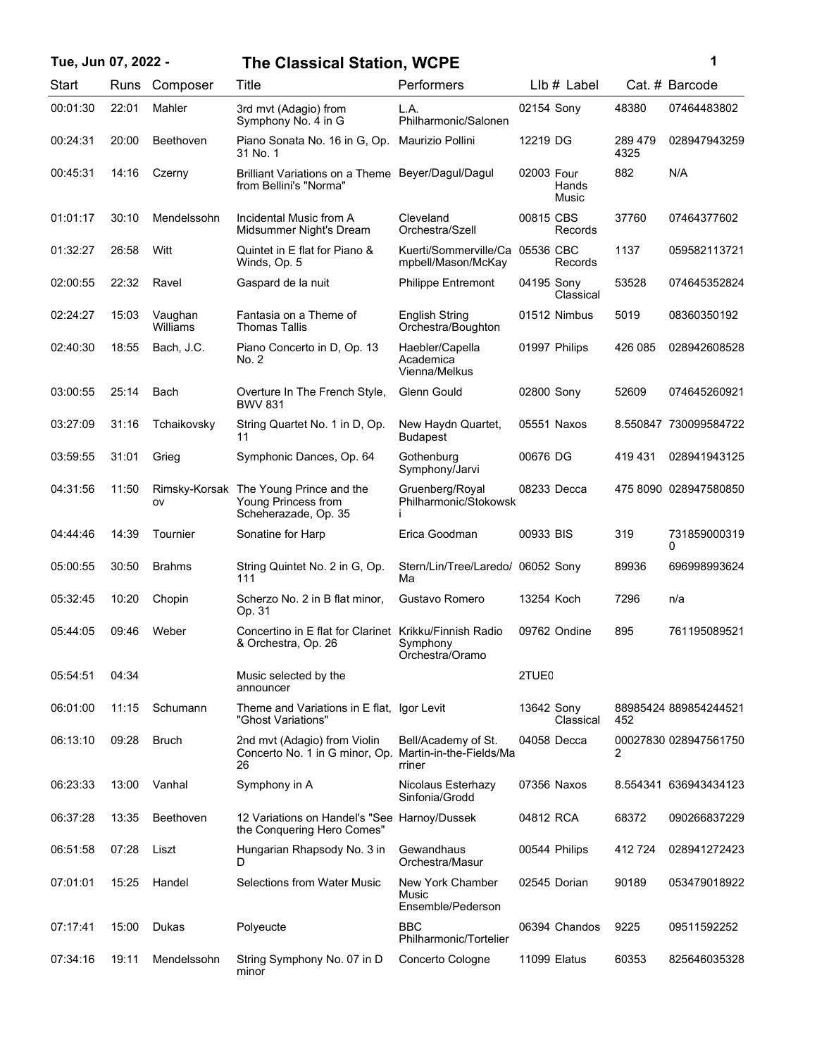| Tue, Jun 07, 2022 - |       |                     | <b>The Classical Station, WCPE</b>                                                    |                                                          |            |                |                 | 1                     |
|---------------------|-------|---------------------|---------------------------------------------------------------------------------------|----------------------------------------------------------|------------|----------------|-----------------|-----------------------|
| Start               |       | Runs Composer       | Title                                                                                 | Performers                                               |            | LIb # Label    |                 | Cat. # Barcode        |
| 00:01:30            | 22:01 | Mahler              | 3rd mvt (Adagio) from<br>Symphony No. 4 in G                                          | L.A.<br>Philharmonic/Salonen                             | 02154 Sony |                | 48380           | 07464483802           |
| 00:24:31            | 20:00 | Beethoven           | Piano Sonata No. 16 in G, Op.<br>31 No. 1                                             | Maurizio Pollini                                         | 12219 DG   |                | 289 479<br>4325 | 028947943259          |
| 00:45:31            | 14:16 | Czerny              | Brilliant Variations on a Theme Beyer/Dagul/Dagul<br>from Bellini's "Norma"           |                                                          | 02003 Four | Hands<br>Music | 882             | N/A                   |
| 01:01:17            | 30:10 | Mendelssohn         | Incidental Music from A<br>Midsummer Night's Dream                                    | Cleveland<br>Orchestra/Szell                             | 00815 CBS  | Records        | 37760           | 07464377602           |
| 01:32:27            | 26:58 | Witt                | Quintet in E flat for Piano &<br>Winds, Op. 5                                         | Kuerti/Sommerville/Ca 05536 CBC<br>mpbell/Mason/McKay    |            | Records        | 1137            | 059582113721          |
| 02:00:55            | 22:32 | Ravel               | Gaspard de la nuit                                                                    | <b>Philippe Entremont</b>                                | 04195 Sony | Classical      | 53528           | 074645352824          |
| 02:24:27            | 15:03 | Vaughan<br>Williams | Fantasia on a Theme of<br><b>Thomas Tallis</b>                                        | <b>English String</b><br>Orchestra/Boughton              |            | 01512 Nimbus   | 5019            | 08360350192           |
| 02:40:30            | 18:55 | Bach, J.C.          | Piano Concerto in D, Op. 13<br>No. 2                                                  | Haebler/Capella<br>Academica<br>Vienna/Melkus            |            | 01997 Philips  | 426 085         | 028942608528          |
| 03:00:55            | 25:14 | Bach                | Overture In The French Style,<br><b>BWV 831</b>                                       | Glenn Gould                                              | 02800 Sony |                | 52609           | 074645260921          |
| 03:27:09            | 31:16 | Tchaikovsky         | String Quartet No. 1 in D, Op.<br>11                                                  | New Haydn Quartet,<br><b>Budapest</b>                    |            | 05551 Naxos    |                 | 8.550847 730099584722 |
| 03:59:55            | 31:01 | Grieg               | Symphonic Dances, Op. 64                                                              | Gothenburg<br>Symphony/Jarvi                             | 00676 DG   |                | 419 431         | 028941943125          |
| 04:31:56            | 11:50 | ov                  | Rimsky-Korsak The Young Prince and the<br>Young Princess from<br>Scheherazade, Op. 35 | Gruenberg/Royal<br>Philharmonic/Stokowsk                 |            | 08233 Decca    |                 | 475 8090 028947580850 |
| 04:44:46            | 14:39 | Tournier            | Sonatine for Harp                                                                     | Erica Goodman                                            | 00933 BIS  |                | 319             | 731859000319<br>0     |
| 05:00:55            | 30:50 | <b>Brahms</b>       | String Quintet No. 2 in G, Op.<br>111                                                 | Stern/Lin/Tree/Laredo/ 06052 Sony<br>Ma                  |            |                | 89936           | 696998993624          |
| 05:32:45            | 10:20 | Chopin              | Scherzo No. 2 in B flat minor,<br>Op. 31                                              | Gustavo Romero                                           | 13254 Koch |                | 7296            | n/a                   |
| 05:44:05            | 09:46 | Weber               | Concertino in E flat for Clarinet Krikku/Finnish Radio<br>& Orchestra, Op. 26         | Symphony<br>Orchestra/Oramo                              |            | 09762 Ondine   | 895             | 761195089521          |
| 05:54:51            | 04:34 |                     | Music selected by the<br>announcer                                                    |                                                          | 2TUE0      |                |                 |                       |
| 06:01:00            | 11:15 | Schumann            | Theme and Variations in E flat, Igor Levit<br>"Ghost Variations"                      |                                                          | 13642 Sony | Classical      | 452             | 88985424 889854244521 |
| 06:13:10            | 09:28 | <b>Bruch</b>        | 2nd mvt (Adagio) from Violin<br>Concerto No. 1 in G minor, Op.<br>26                  | Bell/Academy of St.<br>Martin-in-the-Fields/Ma<br>rriner |            | 04058 Decca    | 2               | 00027830 028947561750 |
| 06:23:33            | 13:00 | Vanhal              | Symphony in A                                                                         | Nicolaus Esterhazy<br>Sinfonia/Grodd                     |            | 07356 Naxos    |                 | 8.554341 636943434123 |
| 06:37:28            | 13:35 | Beethoven           | 12 Variations on Handel's "See Harnoy/Dussek<br>the Conquering Hero Comes"            |                                                          | 04812 RCA  |                | 68372           | 090266837229          |
| 06:51:58            | 07:28 | Liszt               | Hungarian Rhapsody No. 3 in<br>D                                                      | Gewandhaus<br>Orchestra/Masur                            |            | 00544 Philips  | 412724          | 028941272423          |
| 07:01:01            | 15:25 | Handel              | Selections from Water Music                                                           | New York Chamber<br>Music<br>Ensemble/Pederson           |            | 02545 Dorian   | 90189           | 053479018922          |
| 07:17:41            | 15:00 | Dukas               | Polyeucte                                                                             | <b>BBC</b><br>Philharmonic/Tortelier                     |            | 06394 Chandos  | 9225            | 09511592252           |
| 07:34:16            | 19:11 | Mendelssohn         | String Symphony No. 07 in D<br>minor                                                  | Concerto Cologne                                         |            | 11099 Elatus   | 60353           | 825646035328          |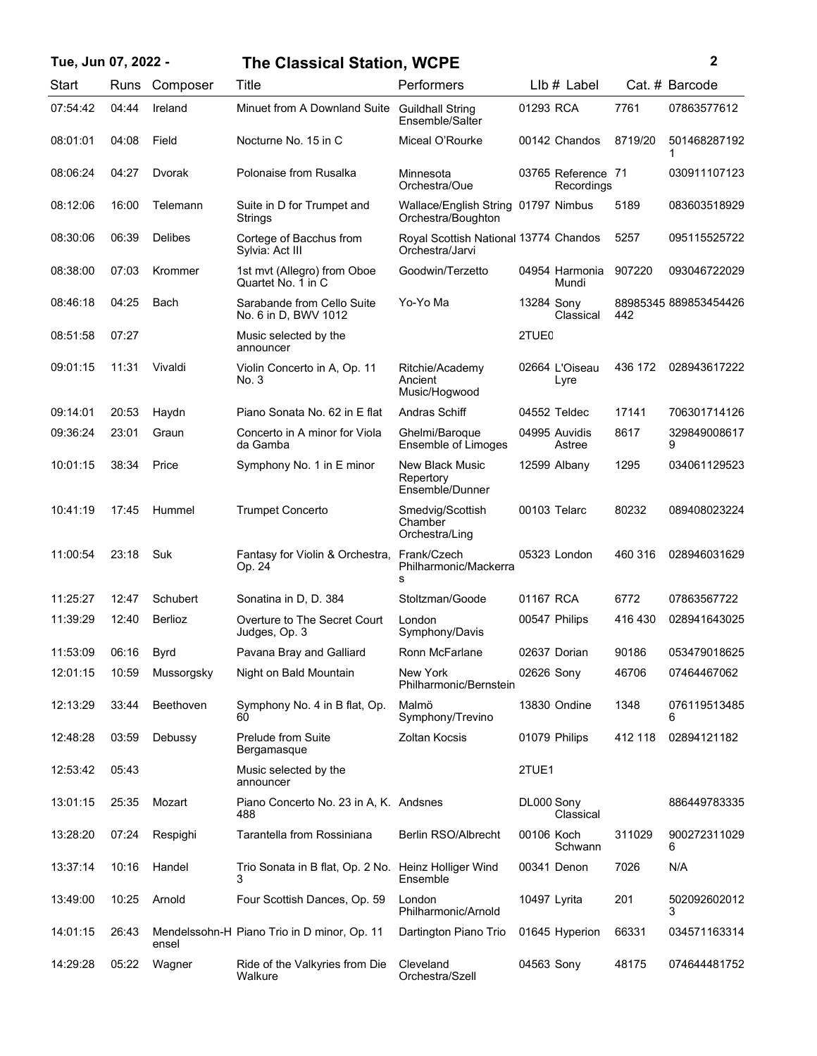## **Tue, Jun 07, 2022 - 2 The Classical Station, WCPE**

|  | i      |  |
|--|--------|--|
|  | ł<br>٠ |  |
|  |        |  |

| Start    | Runs  | Composer       | Title                                                     | Performers                                                |                   | $L$ lb $#$ Label                 |         | Cat. # Barcode        |
|----------|-------|----------------|-----------------------------------------------------------|-----------------------------------------------------------|-------------------|----------------------------------|---------|-----------------------|
| 07:54:42 | 04:44 | Ireland        | Minuet from A Downland Suite                              | <b>Guildhall String</b><br>Ensemble/Salter                | 01293 RCA         |                                  | 7761    | 07863577612           |
| 08:01:01 | 04:08 | Field          | Nocturne No. 15 in C                                      | Miceal O'Rourke                                           |                   | 00142 Chandos                    | 8719/20 | 501468287192          |
| 08:06:24 | 04:27 | Dvorak         | Polonaise from Rusalka                                    | Minnesota<br>Orchestra/Oue                                |                   | 03765 Reference 71<br>Recordings |         | 030911107123          |
| 08:12:06 | 16:00 | Telemann       | Suite in D for Trumpet and<br>Strings                     | Wallace/English String 01797 Nimbus<br>Orchestra/Boughton |                   |                                  | 5189    | 083603518929          |
| 08:30:06 | 06:39 | <b>Delibes</b> | Cortege of Bacchus from<br>Sylvia: Act III                | Royal Scottish National 13774 Chandos<br>Orchestra/Jarvi  |                   |                                  | 5257    | 095115525722          |
| 08:38:00 | 07:03 | Krommer        | 1st mvt (Allegro) from Oboe<br>Quartet No. 1 in C         | Goodwin/Terzetto                                          |                   | 04954 Harmonia<br>Mundi          | 907220  | 093046722029          |
| 08:46:18 | 04:25 | Bach           | Sarabande from Cello Suite<br>No. 6 in D, BWV 1012        | Yo-Yo Ma                                                  | 13284 Sony        | Classical                        | 442     | 88985345 889853454426 |
| 08:51:58 | 07:27 |                | Music selected by the<br>announcer                        |                                                           | 2TUE <sub>0</sub> |                                  |         |                       |
| 09:01:15 | 11:31 | Vivaldi        | Violin Concerto in A, Op. 11<br>No. 3                     | Ritchie/Academy<br>Ancient<br>Music/Hogwood               |                   | 02664 L'Oiseau<br>Lyre           | 436 172 | 028943617222          |
| 09:14:01 | 20:53 | Haydn          | Piano Sonata No. 62 in E flat                             | Andras Schiff                                             |                   | 04552 Teldec                     | 17141   | 706301714126          |
| 09:36:24 | 23:01 | Graun          | Concerto in A minor for Viola<br>da Gamba                 | Ghelmi/Baroque<br>Ensemble of Limoges                     |                   | 04995 Auvidis<br>Astree          | 8617    | 329849008617<br>9     |
| 10:01:15 | 38:34 | Price          | Symphony No. 1 in E minor                                 | New Black Music<br>Repertory<br>Ensemble/Dunner           |                   | 12599 Albany                     | 1295    | 034061129523          |
| 10:41:19 | 17:45 | Hummel         | <b>Trumpet Concerto</b>                                   | Smedvig/Scottish<br>Chamber<br>Orchestra/Ling             |                   | 00103 Telarc                     | 80232   | 089408023224          |
| 11:00:54 | 23:18 | Suk            | Fantasy for Violin & Orchestra,<br>Op. 24                 | Frank/Czech<br>Philharmonic/Mackerra<br>s                 |                   | 05323 London                     | 460 316 | 028946031629          |
| 11:25:27 | 12:47 | Schubert       | Sonatina in D, D. 384                                     | Stoltzman/Goode                                           | 01167 RCA         |                                  | 6772    | 07863567722           |
| 11:39:29 | 12:40 | Berlioz        | Overture to The Secret Court<br>Judges, Op. 3             | London<br>Symphony/Davis                                  |                   | 00547 Philips                    | 416 430 | 028941643025          |
| 11:53:09 | 06:16 | <b>Byrd</b>    | Pavana Bray and Galliard                                  | Ronn McFarlane                                            |                   | 02637 Dorian                     | 90186   | 053479018625          |
| 12:01:15 | 10:59 | Mussorgsky     | Night on Bald Mountain                                    | New York<br>Philharmonic/Bernstein                        | 02626 Sony        |                                  | 46706   | 07464467062           |
| 12:13:29 | 33:44 | Beethoven      | Symphony No. 4 in B flat, Op.<br>60                       | Malmö<br>Symphony/Trevino                                 |                   | 13830 Ondine                     | 1348    | 076119513485<br>6     |
| 12:48:28 | 03:59 | Debussy        | Prelude from Suite<br>Bergamasque                         | <b>Zoltan Kocsis</b>                                      |                   | 01079 Philips                    | 412 118 | 02894121182           |
| 12:53:42 | 05:43 |                | Music selected by the<br>announcer                        |                                                           | 2TUE1             |                                  |         |                       |
| 13:01:15 | 25:35 | Mozart         | Piano Concerto No. 23 in A, K. Andsnes<br>488             |                                                           | DL000 Sony        | Classical                        |         | 886449783335          |
| 13:28:20 | 07:24 | Respighi       | Tarantella from Rossiniana                                | Berlin RSO/Albrecht                                       | 00106 Koch        | Schwann                          | 311029  | 900272311029<br>6     |
| 13:37:14 | 10:16 | Handel         | Trio Sonata in B flat, Op. 2 No. Heinz Holliger Wind<br>3 | Ensemble                                                  |                   | 00341 Denon                      | 7026    | N/A                   |
| 13:49:00 | 10:25 | Arnold         | Four Scottish Dances, Op. 59                              | London<br>Philharmonic/Arnold                             | 10497 Lyrita      |                                  | 201     | 502092602012<br>3     |
| 14:01:15 | 26:43 | ensel          | Mendelssohn-H Piano Trio in D minor, Op. 11               | Dartington Piano Trio                                     |                   | 01645 Hyperion                   | 66331   | 034571163314          |
| 14:29:28 | 05:22 | Wagner         | Ride of the Valkyries from Die<br>Walkure                 | Cleveland<br>Orchestra/Szell                              | 04563 Sony        |                                  | 48175   | 074644481752          |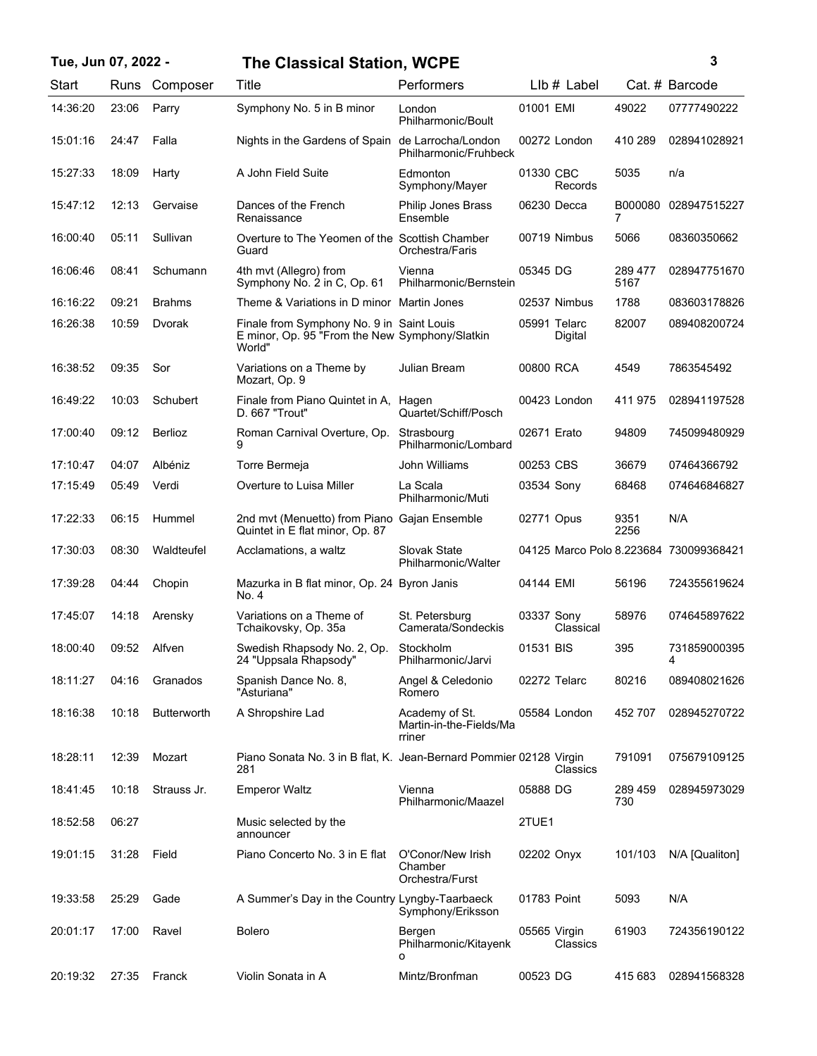## **Tue, Jun 07, 2022 - 3 The Classical Station, WCPE**

| ٦ | ٦ |  |
|---|---|--|
|   |   |  |
|   |   |  |
|   | I |  |

| Start    | Runs  | Composer           | Title                                                                                                 | Performers                                          |              | $Llb#$ Label            |                 | Cat. # Barcode                         |
|----------|-------|--------------------|-------------------------------------------------------------------------------------------------------|-----------------------------------------------------|--------------|-------------------------|-----------------|----------------------------------------|
| 14:36:20 | 23:06 | Parry              | Symphony No. 5 in B minor                                                                             | London<br>Philharmonic/Boult                        | 01001 EMI    |                         | 49022           | 07777490222                            |
| 15:01:16 | 24:47 | Falla              | Nights in the Gardens of Spain de Larrocha/London                                                     | Philharmonic/Fruhbeck                               |              | 00272 London            | 410 289         | 028941028921                           |
| 15:27:33 | 18:09 | Harty              | A John Field Suite                                                                                    | Edmonton<br>Symphony/Mayer                          | 01330 CBC    | Records                 | 5035            | n/a                                    |
| 15:47:12 | 12:13 | Gervaise           | Dances of the French<br>Renaissance                                                                   | <b>Philip Jones Brass</b><br>Ensemble               |              | 06230 Decca             | B000080<br>7    | 028947515227                           |
| 16:00:40 | 05:11 | Sullivan           | Overture to The Yeomen of the Scottish Chamber<br>Guard                                               | Orchestra/Faris                                     |              | 00719 Nimbus            | 5066            | 08360350662                            |
| 16:06:46 | 08:41 | Schumann           | 4th mvt (Allegro) from<br>Symphony No. 2 in C, Op. 61                                                 | Vienna<br>Philharmonic/Bernstein                    | 05345 DG     |                         | 289 477<br>5167 | 028947751670                           |
| 16:16:22 | 09:21 | <b>Brahms</b>      | Theme & Variations in D minor Martin Jones                                                            |                                                     |              | 02537 Nimbus            | 1788            | 083603178826                           |
| 16:26:38 | 10:59 | Dvorak             | Finale from Symphony No. 9 in Saint Louis<br>E minor, Op. 95 "From the New Symphony/Slatkin<br>World" |                                                     |              | 05991 Telarc<br>Digital | 82007           | 089408200724                           |
| 16:38:52 | 09:35 | Sor                | Variations on a Theme by<br>Mozart, Op. 9                                                             | Julian Bream                                        | 00800 RCA    |                         | 4549            | 7863545492                             |
| 16:49:22 | 10:03 | Schubert           | Finale from Piano Quintet in A, Hagen<br>D. 667 "Trout"                                               | Quartet/Schiff/Posch                                |              | 00423 London            | 411 975         | 028941197528                           |
| 17:00:40 | 09:12 | <b>Berlioz</b>     | Roman Carnival Overture, Op.                                                                          | Strasbourg<br>Philharmonic/Lombard                  | 02671 Erato  |                         | 94809           | 745099480929                           |
| 17:10:47 | 04:07 | Albéniz            | Torre Bermeja                                                                                         | John Williams                                       | 00253 CBS    |                         | 36679           | 07464366792                            |
| 17:15:49 | 05:49 | Verdi              | Overture to Luisa Miller                                                                              | La Scala<br>Philharmonic/Muti                       | 03534 Sony   |                         | 68468           | 074646846827                           |
| 17:22:33 | 06:15 | Hummel             | 2nd mvt (Menuetto) from Piano Gajan Ensemble<br>Quintet in E flat minor, Op. 87                       |                                                     | 02771 Opus   |                         | 9351<br>2256    | N/A                                    |
| 17:30:03 | 08:30 | Waldteufel         | Acclamations, a waltz                                                                                 | Slovak State<br>Philharmonic/Walter                 |              |                         |                 | 04125 Marco Polo 8.223684 730099368421 |
| 17:39:28 | 04:44 | Chopin             | Mazurka in B flat minor, Op. 24 Byron Janis<br>No. 4                                                  |                                                     | 04144 EMI    |                         | 56196           | 724355619624                           |
| 17:45:07 | 14:18 | Arensky            | Variations on a Theme of<br>Tchaikovsky, Op. 35a                                                      | St. Petersburg<br>Camerata/Sondeckis                | 03337 Sony   | Classical               | 58976           | 074645897622                           |
| 18:00:40 | 09:52 | Alfven             | Swedish Rhapsody No. 2, Op.<br>24 "Uppsala Rhapsody"                                                  | Stockholm<br>Philharmonic/Jarvi                     | 01531 BIS    |                         | 395             | 731859000395<br>4                      |
| 18:11:27 | 04:16 | Granados           | Spanish Dance No. 8,<br>"Asturiana"                                                                   | Angel & Celedonio<br>Romero                         |              | 02272 Telarc            | 80216           | 089408021626                           |
| 18:16:38 | 10:18 | <b>Butterworth</b> | A Shropshire Lad                                                                                      | Academy of St.<br>Martin-in-the-Fields/Ma<br>rriner |              | 05584 London            | 452 707         | 028945270722                           |
| 18:28:11 | 12:39 | Mozart             | Piano Sonata No. 3 in B flat, K. Jean-Bernard Pommier 02128 Virgin<br>281                             |                                                     |              | Classics                | 791091          | 075679109125                           |
| 18:41:45 | 10:18 | Strauss Jr.        | <b>Emperor Waltz</b>                                                                                  | Vienna<br>Philharmonic/Maazel                       | 05888 DG     |                         | 289 459<br>730  | 028945973029                           |
| 18:52:58 | 06:27 |                    | Music selected by the<br>announcer                                                                    |                                                     | 2TUE1        |                         |                 |                                        |
| 19:01:15 | 31:28 | Field              | Piano Concerto No. 3 in E flat                                                                        | O'Conor/New Irish<br>Chamber<br>Orchestra/Furst     | 02202 Onyx   |                         | 101/103         | N/A [Qualiton]                         |
| 19:33:58 | 25:29 | Gade               | A Summer's Day in the Country Lyngby-Taarbaeck                                                        | Symphony/Eriksson                                   | 01783 Point  |                         | 5093            | N/A                                    |
| 20:01:17 | 17:00 | Ravel              | <b>Bolero</b>                                                                                         | Bergen<br>Philharmonic/Kitayenk<br>о                | 05565 Virgin | Classics                | 61903           | 724356190122                           |
| 20:19:32 | 27:35 | Franck             | Violin Sonata in A                                                                                    | Mintz/Bronfman                                      | 00523 DG     |                         | 415 683         | 028941568328                           |